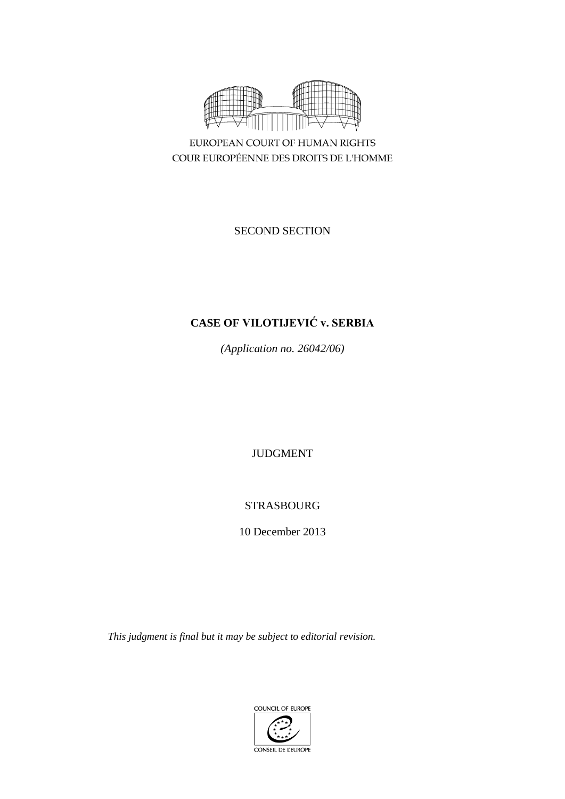

EUROPEAN COURT OF HUMAN RIGHTS COUR EUROPÉENNE DES DROITS DE L'HOMME

SECOND SECTION

# **CASE OF VILOTIJEVIĆ v. SERBIA**

*(Application no. 26042/06)*

JUDGMENT

STRASBOURG

10 December 2013

*This judgment is final but it may be subject to editorial revision.*

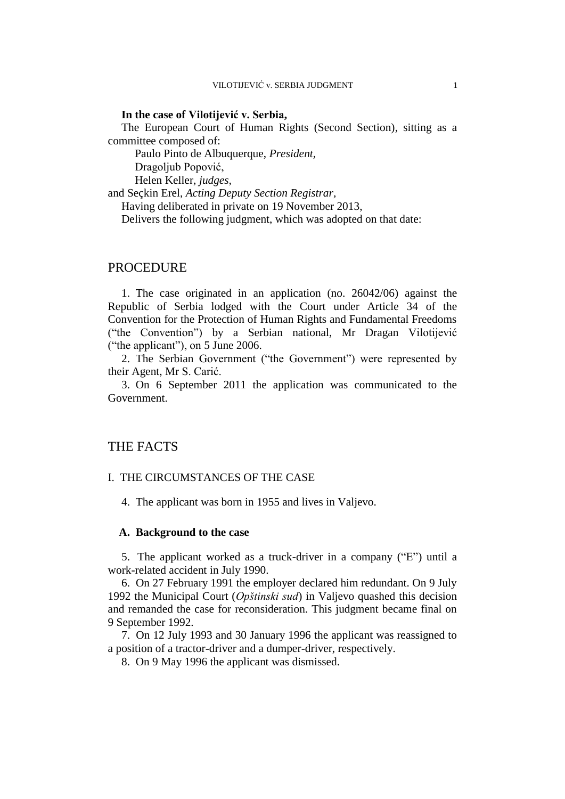#### **In the case of Vilotijević v. Serbia,**

The European Court of Human Rights (Second Section), sitting as a committee composed of:

Paulo Pinto de Albuquerque, *President,*

Dragoljub Popović,

Helen Keller, *judges,*

and Seçkin Erel, *Acting Deputy Section Registrar,*

Having deliberated in private on 19 November 2013,

Delivers the following judgment, which was adopted on that date:

## PROCEDURE

1. The case originated in an application (no. 26042/06) against the Republic of Serbia lodged with the Court under Article 34 of the Convention for the Protection of Human Rights and Fundamental Freedoms ("the Convention") by a Serbian national, Mr Dragan Vilotijević ("the applicant"), on 5 June 2006.

2. The Serbian Government ("the Government") were represented by their Agent, Mr S. Carić.

3. On 6 September 2011 the application was communicated to the Government.

# THE FACTS

#### I. THE CIRCUMSTANCES OF THE CASE

4. The applicant was born in 1955 and lives in Valjevo.

#### **A. Background to the case**

5. The applicant worked as a truck-driver in a company ("E") until a work-related accident in July 1990.

6. On 27 February 1991 the employer declared him redundant. On 9 July 1992 the Municipal Court (*Opštinski sud*) in Valjevo quashed this decision and remanded the case for reconsideration. This judgment became final on 9 September 1992.

7. On 12 July 1993 and 30 January 1996 the applicant was reassigned to a position of a tractor-driver and a dumper-driver, respectively.

8. On 9 May 1996 the applicant was dismissed.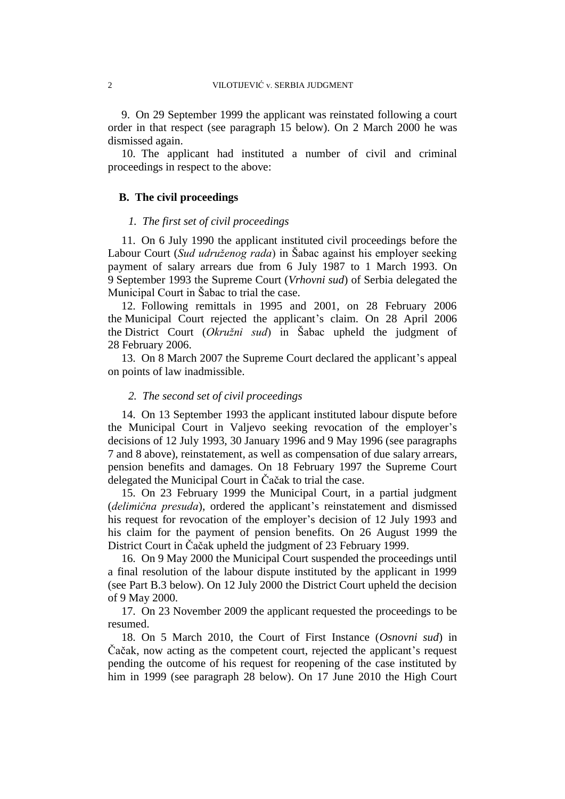9. On 29 September 1999 the applicant was reinstated following a court order in that respect (see paragraph 15 below). On 2 March 2000 he was dismissed again.

10. The applicant had instituted a number of civil and criminal proceedings in respect to the above:

## **B. The civil proceedings**

## *1. The first set of civil proceedings*

11. On 6 July 1990 the applicant instituted civil proceedings before the Labour Court (*Sud udruženog rada*) in Šabac against his employer seeking payment of salary arrears due from 6 July 1987 to 1 March 1993. On 9 September 1993 the Supreme Court (*Vrhovni sud*) of Serbia delegated the Municipal Court in Šabac to trial the case.

12. Following remittals in 1995 and 2001, on 28 February 2006 the Municipal Court rejected the applicant's claim. On 28 April 2006 the District Court (*Okružni sud*) in Šabac upheld the judgment of 28 February 2006.

13. On 8 March 2007 the Supreme Court declared the applicant's appeal on points of law inadmissible.

#### *2. The second set of civil proceedings*

14. On 13 September 1993 the applicant instituted labour dispute before the Municipal Court in Valjevo seeking revocation of the employer's decisions of 12 July 1993, 30 January 1996 and 9 May 1996 (see paragraphs 7 and 8 above), reinstatement, as well as compensation of due salary arrears, pension benefits and damages. On 18 February 1997 the Supreme Court delegated the Municipal Court in Čačak to trial the case.

15. On 23 February 1999 the Municipal Court, in a partial judgment (*delimična presuda*), ordered the applicant's reinstatement and dismissed his request for revocation of the employer's decision of 12 July 1993 and his claim for the payment of pension benefits. On 26 August 1999 the District Court in Čačak upheld the judgment of 23 February 1999.

16. On 9 May 2000 the Municipal Court suspended the proceedings until a final resolution of the labour dispute instituted by the applicant in 1999 (see Part B.3 below). On 12 July 2000 the District Court upheld the decision of 9 May 2000.

17. On 23 November 2009 the applicant requested the proceedings to be resumed.

18. On 5 March 2010, the Court of First Instance (*Osnovni sud*) in Čačak, now acting as the competent court, rejected the applicant's request pending the outcome of his request for reopening of the case instituted by him in 1999 (see paragraph 28 below). On 17 June 2010 the High Court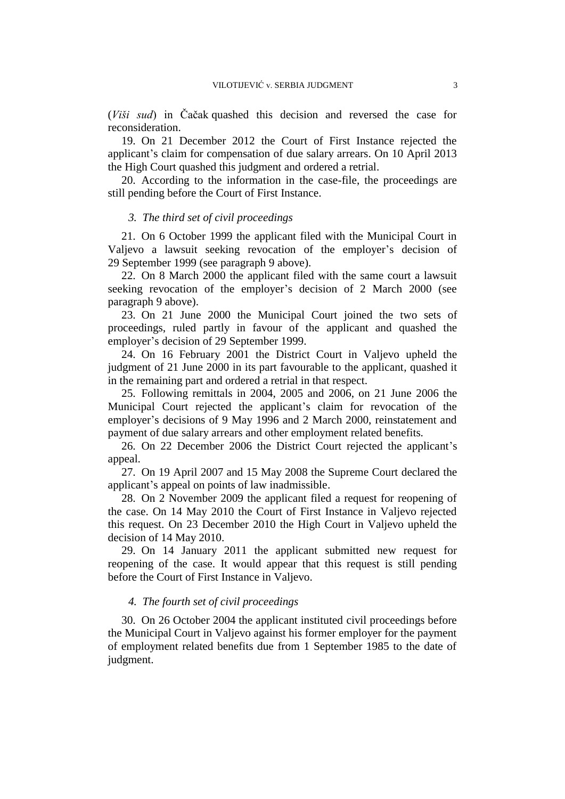(*Viši sud*) in Čačak quashed this decision and reversed the case for reconsideration.

19. On 21 December 2012 the Court of First Instance rejected the applicant's claim for compensation of due salary arrears. On 10 April 2013 the High Court quashed this judgment and ordered a retrial.

20. According to the information in the case-file, the proceedings are still pending before the Court of First Instance.

#### *3. The third set of civil proceedings*

21. On 6 October 1999 the applicant filed with the Municipal Court in Valjevo a lawsuit seeking revocation of the employer's decision of 29 September 1999 (see paragraph 9 above).

22. On 8 March 2000 the applicant filed with the same court a lawsuit seeking revocation of the employer's decision of 2 March 2000 (see paragraph 9 above).

23. On 21 June 2000 the Municipal Court joined the two sets of proceedings, ruled partly in favour of the applicant and quashed the employer's decision of 29 September 1999.

24. On 16 February 2001 the District Court in Valjevo upheld the judgment of 21 June 2000 in its part favourable to the applicant, quashed it in the remaining part and ordered a retrial in that respect.

25. Following remittals in 2004, 2005 and 2006, on 21 June 2006 the Municipal Court rejected the applicant's claim for revocation of the employer's decisions of 9 May 1996 and 2 March 2000, reinstatement and payment of due salary arrears and other employment related benefits.

26. On 22 December 2006 the District Court rejected the applicant's appeal.

27. On 19 April 2007 and 15 May 2008 the Supreme Court declared the applicant's appeal on points of law inadmissible.

28. On 2 November 2009 the applicant filed a request for reopening of the case. On 14 May 2010 the Court of First Instance in Valjevo rejected this request. On 23 December 2010 the High Court in Valjevo upheld the decision of 14 May 2010.

29. On 14 January 2011 the applicant submitted new request for reopening of the case. It would appear that this request is still pending before the Court of First Instance in Valjevo.

#### *4. The fourth set of civil proceedings*

30. On 26 October 2004 the applicant instituted civil proceedings before the Municipal Court in Valjevo against his former employer for the payment of employment related benefits due from 1 September 1985 to the date of judgment.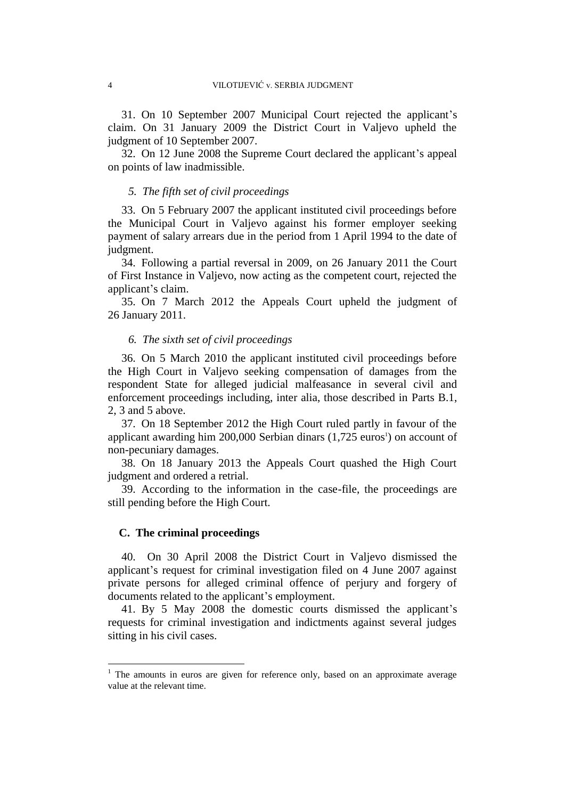31. On 10 September 2007 Municipal Court rejected the applicant's claim. On 31 January 2009 the District Court in Valjevo upheld the judgment of 10 September 2007.

32. On 12 June 2008 the Supreme Court declared the applicant's appeal on points of law inadmissible.

## *5. The fifth set of civil proceedings*

33. On 5 February 2007 the applicant instituted civil proceedings before the Municipal Court in Valjevo against his former employer seeking payment of salary arrears due in the period from 1 April 1994 to the date of judgment.

34. Following a partial reversal in 2009, on 26 January 2011 the Court of First Instance in Valjevo, now acting as the competent court, rejected the applicant's claim.

35. On 7 March 2012 the Appeals Court upheld the judgment of 26 January 2011.

## *6. The sixth set of civil proceedings*

36. On 5 March 2010 the applicant instituted civil proceedings before the High Court in Valjevo seeking compensation of damages from the respondent State for alleged judicial malfeasance in several civil and enforcement proceedings including, inter alia, those described in Parts B.1, 2, 3 and 5 above.

37. On 18 September 2012 the High Court ruled partly in favour of the applicant awarding him  $200,000$  Serbian dinars  $(1,725 \text{ euros}^1)$  on account of non-pecuniary damages.

38. On 18 January 2013 the Appeals Court quashed the High Court judgment and ordered a retrial.

39. According to the information in the case-file, the proceedings are still pending before the High Court.

#### **C. The criminal proceedings**

 $\overline{a}$ 

40. On 30 April 2008 the District Court in Valjevo dismissed the applicant's request for criminal investigation filed on 4 June 2007 against private persons for alleged criminal offence of perjury and forgery of documents related to the applicant's employment.

41. By 5 May 2008 the domestic courts dismissed the applicant's requests for criminal investigation and indictments against several judges sitting in his civil cases.

<sup>&</sup>lt;sup>1</sup> The amounts in euros are given for reference only, based on an approximate average value at the relevant time.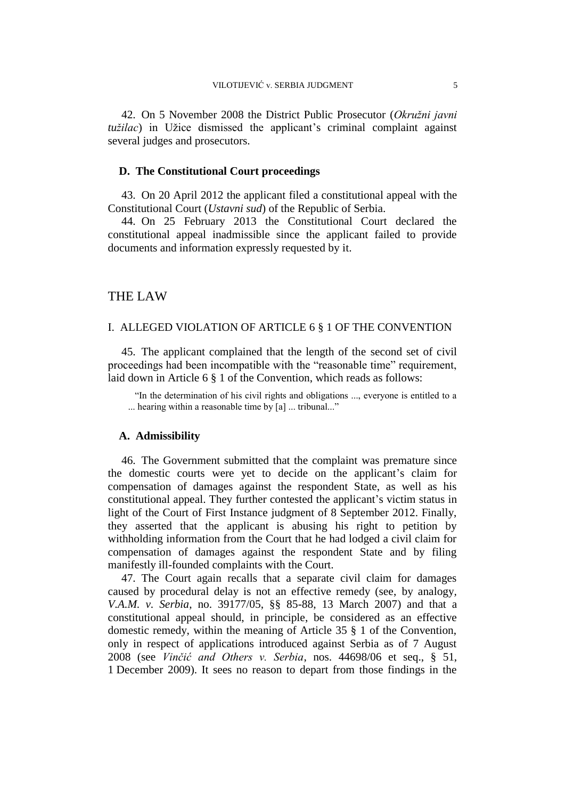42. On 5 November 2008 the District Public Prosecutor (*Okružni javni tužilac*) in Užice dismissed the applicant's criminal complaint against several judges and prosecutors.

# **D. The Constitutional Court proceedings**

43. On 20 April 2012 the applicant filed a constitutional appeal with the Constitutional Court (*Ustavni sud*) of the Republic of Serbia.

44. On 25 February 2013 the Constitutional Court declared the constitutional appeal inadmissible since the applicant failed to provide documents and information expressly requested by it.

# THE LAW

## I. ALLEGED VIOLATION OF ARTICLE 6 § 1 OF THE CONVENTION

45. The applicant complained that the length of the second set of civil proceedings had been incompatible with the "reasonable time" requirement, laid down in Article 6 § 1 of the Convention, which reads as follows:

"In the determination of his civil rights and obligations ..., everyone is entitled to a ... hearing within a reasonable time by [a] ... tribunal..."

#### **A. Admissibility**

46. The Government submitted that the complaint was premature since the domestic courts were yet to decide on the applicant's claim for compensation of damages against the respondent State, as well as his constitutional appeal. They further contested the applicant's victim status in light of the Court of First Instance judgment of 8 September 2012. Finally, they asserted that the applicant is abusing his right to petition by withholding information from the Court that he had lodged a civil claim for compensation of damages against the respondent State and by filing manifestly ill-founded complaints with the Court.

47. The Court again recalls that a separate civil claim for damages caused by procedural delay is not an effective remedy (see, by analogy*, V.A.M. v. Serbia*, no. 39177/05, §§ 85-88, 13 March 2007) and that a constitutional appeal should, in principle, be considered as an effective domestic remedy, within the meaning of Article 35 § 1 of the Convention, only in respect of applications introduced against Serbia as of 7 August 2008 (see *Vinčić and Others v. Serbia*, nos. [44698/06](http://hudoc.echr.coe.int/sites/eng/Pages/search.aspx#{"appno":["44698/06"]}) et seq., § 51, 1 December 2009). It sees no reason to depart from those findings in the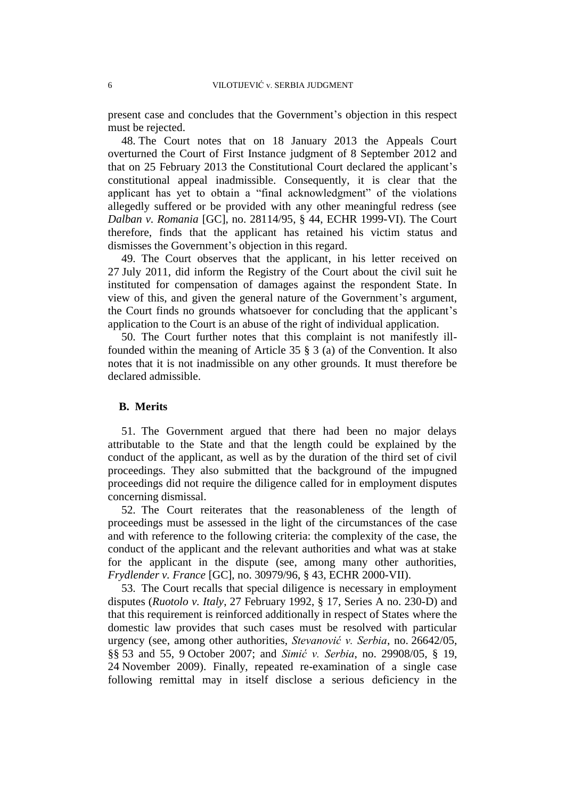present case and concludes that the Government's objection in this respect must be rejected.

48. The Court notes that on 18 January 2013 the Appeals Court overturned the Court of First Instance judgment of 8 September 2012 and that on 25 February 2013 the Constitutional Court declared the applicant's constitutional appeal inadmissible. Consequently, it is clear that the applicant has yet to obtain a "final acknowledgment" of the violations allegedly suffered or be provided with any other meaningful redress (see *Dalban v. Romania* [GC], no. 28114/95, § 44, ECHR 1999-VI). The Court therefore, finds that the applicant has retained his victim status and dismisses the Government's objection in this regard.

49. The Court observes that the applicant, in his letter received on 27 July 2011, did inform the Registry of the Court about the civil suit he instituted for compensation of damages against the respondent State. In view of this, and given the general nature of the Government's argument, the Court finds no grounds whatsoever for concluding that the applicant's application to the Court is an abuse of the right of individual application.

50. The Court further notes that this complaint is not manifestly illfounded within the meaning of Article 35 § 3 (a) of the Convention. It also notes that it is not inadmissible on any other grounds. It must therefore be declared admissible.

## **B. Merits**

51. The Government argued that there had been no major delays attributable to the State and that the length could be explained by the conduct of the applicant, as well as by the duration of the third set of civil proceedings. They also submitted that the background of the impugned proceedings did not require the diligence called for in employment disputes concerning dismissal.

52. The Court reiterates that the reasonableness of the length of proceedings must be assessed in the light of the circumstances of the case and with reference to the following criteria: the complexity of the case, the conduct of the applicant and the relevant authorities and what was at stake for the applicant in the dispute (see, among many other authorities, *Frydlender v. France* [GC], no. 30979/96, § 43, ECHR 2000-VII).

53. The Court recalls that special diligence is necessary in employment disputes (*Ruotolo v. Italy*, 27 February 1992, § 17, Series A no. 230-D) and that this requirement is reinforced additionally in respect of States where the domestic law provides that such cases must be resolved with particular urgency (see, among other authorities, *Stevanović v. Serbia*, no. 26642/05, §§ 53 and 55, 9 October 2007; and *Simić v. Serbia*, no. 29908/05, § 19, 24 November 2009). Finally, repeated re-examination of a single case following remittal may in itself disclose a serious deficiency in the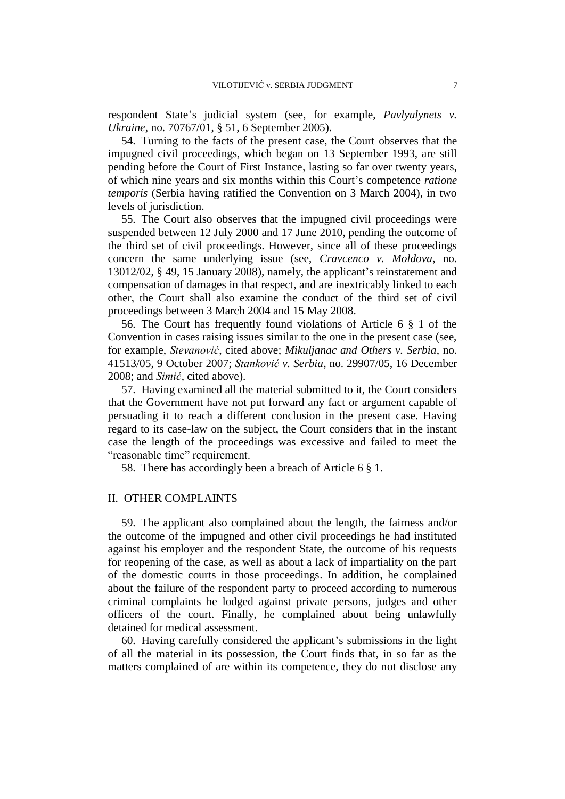respondent State's judicial system (see, for example, *Pavlyulynets v. Ukraine*, no. 70767/01, § 51, 6 September 2005).

54. Turning to the facts of the present case, the Court observes that the impugned civil proceedings, which began on 13 September 1993, are still pending before the Court of First Instance, lasting so far over twenty years, of which nine years and six months within this Court's competence *ratione temporis* (Serbia having ratified the Convention on 3 March 2004), in two levels of jurisdiction.

55. The Court also observes that the impugned civil proceedings were suspended between 12 July 2000 and 17 June 2010, pending the outcome of the third set of civil proceedings. However, since all of these proceedings concern the same underlying issue (see, *Cravcenco v. Moldova*, no. 13012/02, § 49, 15 January 2008), namely, the applicant's reinstatement and compensation of damages in that respect, and are inextricably linked to each other, the Court shall also examine the conduct of the third set of civil proceedings between 3 March 2004 and 15 May 2008.

56. The Court has frequently found violations of Article 6 § 1 of the Convention in cases raising issues similar to the one in the present case (see, for example, *Stevanović*, cited above; *Mikuljanac and Others v. Serbia*, no. 41513/05, 9 October 2007; *Stanković v. Serbia*, no. 29907/05, 16 December 2008; and *Simić*, cited above).

57. Having examined all the material submitted to it, the Court considers that the Government have not put forward any fact or argument capable of persuading it to reach a different conclusion in the present case. Having regard to its case-law on the subject, the Court considers that in the instant case the length of the proceedings was excessive and failed to meet the "reasonable time" requirement.

58. There has accordingly been a breach of Article 6 § 1.

## II. OTHER COMPLAINTS

59. The applicant also complained about the length, the fairness and/or the outcome of the impugned and other civil proceedings he had instituted against his employer and the respondent State, the outcome of his requests for reopening of the case, as well as about a lack of impartiality on the part of the domestic courts in those proceedings. In addition, he complained about the failure of the respondent party to proceed according to numerous criminal complaints he lodged against private persons, judges and other officers of the court. Finally, he complained about being unlawfully detained for medical assessment.

60. Having carefully considered the applicant's submissions in the light of all the material in its possession, the Court finds that, in so far as the matters complained of are within its competence, they do not disclose any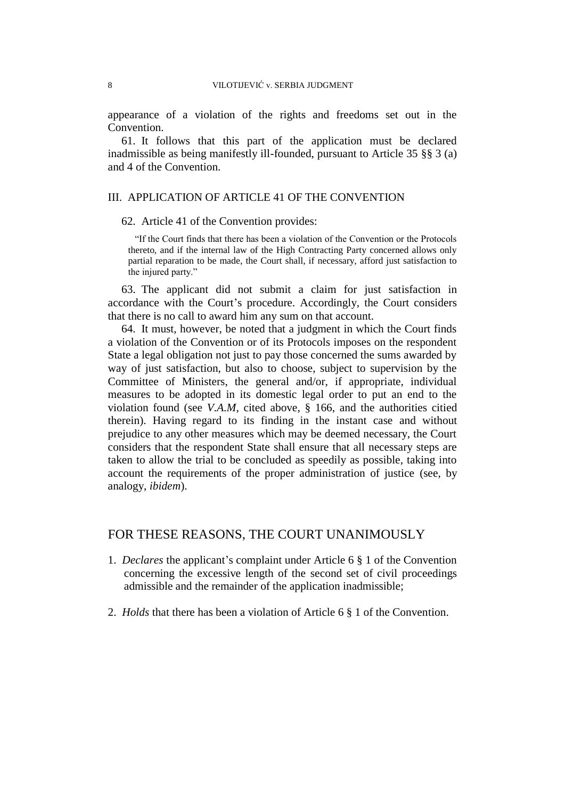appearance of a violation of the rights and freedoms set out in the Convention.

61. It follows that this part of the application must be declared inadmissible as being manifestly ill-founded, pursuant to Article 35 §§ 3 (a) and 4 of the Convention.

# III. APPLICATION OF ARTICLE 41 OF THE CONVENTION

62. Article 41 of the Convention provides:

"If the Court finds that there has been a violation of the Convention or the Protocols thereto, and if the internal law of the High Contracting Party concerned allows only partial reparation to be made, the Court shall, if necessary, afford just satisfaction to the injured party."

63. The applicant did not submit a claim for just satisfaction in accordance with the Court's procedure. Accordingly, the Court considers that there is no call to award him any sum on that account.

64. It must, however, be noted that a judgment in which the Court finds a violation of the Convention or of its Protocols imposes on the respondent State a legal obligation not just to pay those concerned the sums awarded by way of just satisfaction, but also to choose, subject to supervision by the Committee of Ministers, the general and/or, if appropriate, individual measures to be adopted in its domestic legal order to put an end to the violation found (see *V.A.M*, cited above, § 166, and the authorities citied therein). Having regard to its finding in the instant case and without prejudice to any other measures which may be deemed necessary, the Court considers that the respondent State shall ensure that all necessary steps are taken to allow the trial to be concluded as speedily as possible, taking into account the requirements of the proper administration of justice (see, by analogy, *ibidem*).

# FOR THESE REASONS, THE COURT UNANIMOUSLY

- 1. *Declares* the applicant's complaint under Article 6 § 1 of the Convention concerning the excessive length of the second set of civil proceedings admissible and the remainder of the application inadmissible;
- 2. *Holds* that there has been a violation of Article 6 § 1 of the Convention.